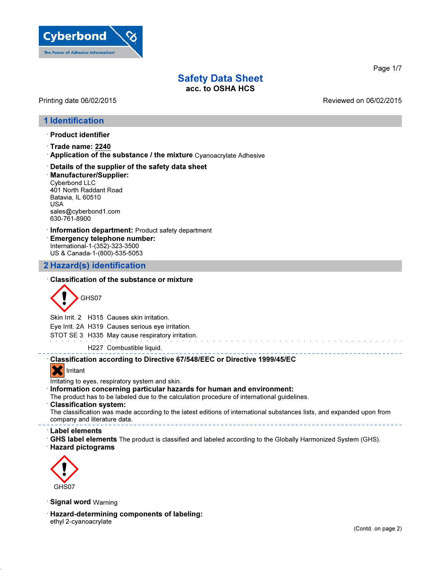

## Printing date 06/02/2015 Reviewed on 06/02/2015

Page 1/7

# 1 Identification

- · Product identifier
- · Trade name: 2240
- · Application of the substance / the mixture Cyanoacrylate Adhesive
- · Details of the supplier of the safety data sheet
- · Manufacturer/Supplier: Cyberbond LLC 401 North Raddant Road Batavia, IL 60510 USA sales@cyberbond1.com 630-761-8900
- · Information department: Product safety department · Emergency telephone number: International-1-(352)-323-3500 US & Canada-1-(800)-535-5053

## 2 Hazard(s) identification

#### · Classification of the substance or mixture



Skin Irrit. 2 H315 Causes skin irritation. Eye Irrit. 2A H319 Causes serious eye irritation. STOT SE 3 H335 May cause respiratory irritation.

H227 Combustible liquid.

# · Classification according to Directive 67/548/EEC or Directive 1999/45/EC



Irritating to eyes, respiratory system and skin.

· Information concerning particular hazards for human and environment:

The product has to be labeled due to the calculation procedure of international guidelines.

Classification system:

The classification was made according to the latest editions of international substances lists, and expanded upon from company and literature data.

· Label elements

· GHS label elements The product is classified and labeled according to the Globally Harmonized System (GHS).

#### · Hazard pictograms



· Signal word Warning

· Hazard-determining components of labeling: ethyl 2-cyanoacrylate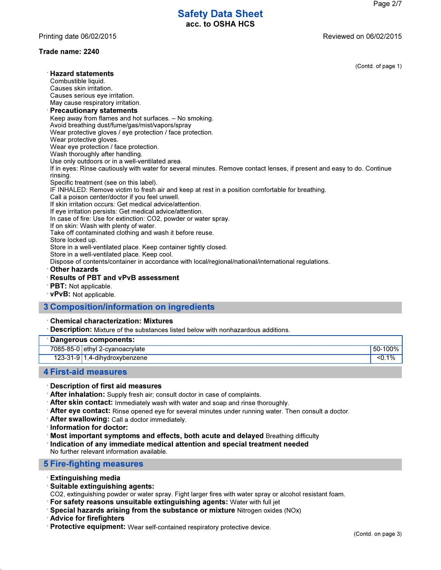Printing date 06/02/2015 Reviewed on 06/02/2015

## Trade name: 2240

(Contd. of page 1)

| ooma. or paga                                                                                                           |
|-------------------------------------------------------------------------------------------------------------------------|
| $^{\cdot}$ Hazard statements                                                                                            |
| Combustible liquid.                                                                                                     |
| Causes skin irritation.                                                                                                 |
| Causes serious eye irritation.                                                                                          |
| May cause respiratory irritation.                                                                                       |
| <b>Precautionary statements</b>                                                                                         |
| Keep away from flames and hot surfaces. - No smoking.                                                                   |
| Avoid breathing dust/fume/gas/mist/vapors/spray                                                                         |
| Wear protective gloves / eye protection / face protection.                                                              |
| Wear protective gloves.                                                                                                 |
| Wear eye protection / face protection.                                                                                  |
| Wash thoroughly after handling.                                                                                         |
| Use only outdoors or in a well-ventilated area.                                                                         |
| If in eyes: Rinse cautiously with water for several minutes. Remove contact lenses, if present and easy to do. Continue |
| rinsing.                                                                                                                |
| Specific treatment (see on this label).                                                                                 |
| IF INHALED: Remove victim to fresh air and keep at rest in a position comfortable for breathing.                        |
| Call a poison center/doctor if you feel unwell.                                                                         |
| If skin irritation occurs: Get medical advice/attention.                                                                |
| If eye irritation persists: Get medical advice/attention.                                                               |
| In case of fire: Use for extinction: CO2, powder or water spray.                                                        |
| If on skin: Wash with plenty of water.                                                                                  |
| Take off contaminated clothing and wash it before reuse.                                                                |
| Store locked up.                                                                                                        |
| Store in a well-ventilated place. Keep container tightly closed.                                                        |
| Store in a well-ventilated place. Keep cool.                                                                            |
| Dispose of contents/container in accordance with local/regional/national/international regulations.                     |
| $\cdot$ Other hazards                                                                                                   |
| <b>Results of PBT and vPvB assessment</b>                                                                               |
|                                                                                                                         |

- · PBT: Not applicable.
- · vPvB: Not applicable.

# 3 Composition/information on ingredients

#### · Chemical characterization: Mixtures

· Description: Mixture of the substances listed below with nonhazardous additions.

| Dangerous components: |                                   |           |  |  |
|-----------------------|-----------------------------------|-----------|--|--|
|                       | 7085-85-0 ethyl 2-cyanoacrylate   | 50-100%   |  |  |
|                       | $123-31-9$   1,4-dihydroxybenzene | $< 0.1\%$ |  |  |

# 4 First-aid measures

#### · Description of first aid measures

- · After inhalation: Supply fresh air; consult doctor in case of complaints.
- · After skin contact: Immediately wash with water and soap and rinse thoroughly.
- · After eye contact: Rinse opened eye for several minutes under running water. Then consult a doctor.
- · After swallowing: Call a doctor immediately.
- · Information for doctor:
- · Most important symptoms and effects, both acute and delayed Breathing difficulty
- · Indication of any immediate medical attention and special treatment needed
- No further relevant information available.

# 5 Fire-fighting measures

- · Extinguishing media
- · Suitable extinguishing agents:
- CO2, extinguishing powder or water spray. Fight larger fires with water spray or alcohol resistant foam.
- · For safety reasons unsuitable extinguishing agents: Water with full jet
- · Special hazards arising from the substance or mixture Nitrogen oxides (NOx)
- · Advice for firefighters
- · Protective equipment: Wear self-contained respiratory protective device.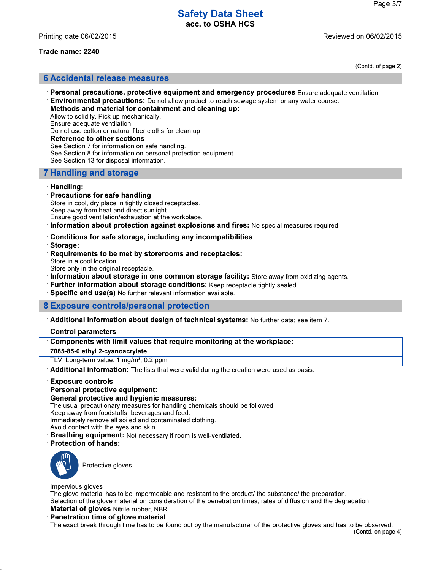Printing date 06/02/2015 Reviewed on 06/02/2015

## Trade name: 2240

(Contd. of page 2)

## 6 Accidental release measures

- · Personal precautions, protective equipment and emergency procedures Ensure adequate ventilation
- $\cdot$  **Environmental precautions:** Do not allow product to reach sewage system or any water course.
- · Methods and material for containment and cleaning up: Allow to solidify. Pick up mechanically.
- Ensure adequate ventilation.

Do not use cotton or natural fiber cloths for clean up

- **Reference to other sections**
- See Section 7 for information on safe handling.
- See Section 8 for information on personal protection equipment.
- See Section 13 for disposal information.

# 7 Handling and storage

#### · Handling:

- · Precautions for safe handling Store in cool, dry place in tightly closed receptacles. Keep away from heat and direct sunlight.
- Ensure good ventilation/exhaustion at the workplace.
- · Information about protection against explosions and fires: No special measures required.

### · Conditions for safe storage, including any incompatibilities

- · Storage:
- · Requirements to be met by storerooms and receptacles:
- Store in a cool location.
- Store only in the original receptacle.
- · Information about storage in one common storage facility: Store away from oxidizing agents.
- · Further information about storage conditions: Keep receptacle tightly sealed.
- · Specific end use(s) No further relevant information available.

# 8 Exposure controls/personal protection

- · Additional information about design of technical systems: No further data; see item 7.
- · Control parameters

#### · Components with limit values that require monitoring at the workplace:

7085-85-0 ethyl 2-cyanoacrylate

TLV Long-term value: 1 mg/m<sup>3</sup>, 0.2 ppm

Additional information: The lists that were valid during the creation were used as basis.

- · Exposure controls
- · Personal protective equipment:
- · General protective and hygienic measures:

The usual precautionary measures for handling chemicals should be followed.

Keep away from foodstuffs, beverages and feed.

Immediately remove all soiled and contaminated clothing.

Avoid contact with the eyes and skin.

- Breathing equipment: Not necessary if room is well-ventilated.
- · Protection of hands:



Protective gloves

Impervious gloves

The glove material has to be impermeable and resistant to the product/ the substance/ the preparation.

Selection of the glove material on consideration of the penetration times, rates of diffusion and the degradation

**Material of gloves** Nitrile rubber, NBR

· Penetration time of glove material

The exact break through time has to be found out by the manufacturer of the protective gloves and has to be observed.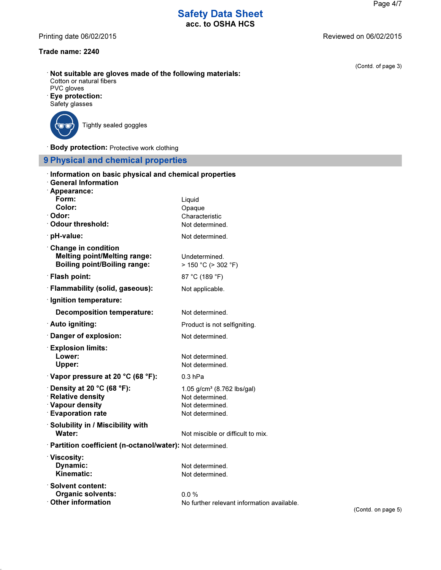Printing date 06/02/2015 **Printing date 06/02/2015** 

# Trade name: 2240

- · Not suitable are gloves made of the following materials: Cotton or natural fibers PVC gloves
- 
- · Eye protection: Safety glasses



Tightly sealed goggles

· Body protection: Protective work clothing

# 9 Physical and chemical properties

| Information on basic physical and chemical properties<br><b>General Information</b> |                                                    |  |  |  |
|-------------------------------------------------------------------------------------|----------------------------------------------------|--|--|--|
| Appearance:                                                                         |                                                    |  |  |  |
| Form:<br>Color:                                                                     | Liquid                                             |  |  |  |
| · Odor:                                                                             | Opaque<br>Characteristic                           |  |  |  |
| : Odour threshold:                                                                  | Not determined.                                    |  |  |  |
| · pH-value:                                                                         | Not determined.                                    |  |  |  |
| <b>Change in condition</b>                                                          |                                                    |  |  |  |
| <b>Melting point/Melting range:</b><br><b>Boiling point/Boiling range:</b>          | Undetermined.<br>$> 150 °C$ ( $> 302 °F$ )         |  |  |  |
| <b>Flash point:</b>                                                                 | 87 °C (189 °F)                                     |  |  |  |
| · Flammability (solid, gaseous):                                                    | Not applicable.                                    |  |  |  |
| · Ignition temperature:                                                             |                                                    |  |  |  |
| <b>Decomposition temperature:</b>                                                   | Not determined.                                    |  |  |  |
| <b>∴Auto igniting:</b>                                                              | Product is not selfigniting.                       |  |  |  |
| Danger of explosion:                                                                | Not determined.                                    |  |  |  |
| <b>Explosion limits:</b>                                                            |                                                    |  |  |  |
| Lower:<br><b>Upper:</b>                                                             | Not determined.<br>Not determined.                 |  |  |  |
| $\cdot$ Vapor pressure at 20 °C (68 °F):                                            | 0.3 hPa                                            |  |  |  |
| $\cdot$ Density at 20 °C (68 °F):                                                   | 1.05 g/cm <sup>3</sup> (8.762 lbs/gal)             |  |  |  |
| <b>Relative density</b>                                                             | Not determined.                                    |  |  |  |
| <b>Vapour density</b>                                                               | Not determined.                                    |  |  |  |
| <b>Evaporation rate</b>                                                             | Not determined.                                    |  |  |  |
| Solubility in / Miscibility with<br>Water:                                          | Not miscible or difficult to mix.                  |  |  |  |
| · Partition coefficient (n-octanol/water): Not determined.                          |                                                    |  |  |  |
| ∵Viscosity:                                                                         |                                                    |  |  |  |
| Dynamic:                                                                            | Not determined.                                    |  |  |  |
| Kinematic:                                                                          | Not determined.                                    |  |  |  |
| $\cdot$ Solvent content:                                                            |                                                    |  |  |  |
| <b>Organic solvents:</b><br>$\cdot$ Other information                               | 0.0%<br>No further relevant information available. |  |  |  |

(Contd. of page 3)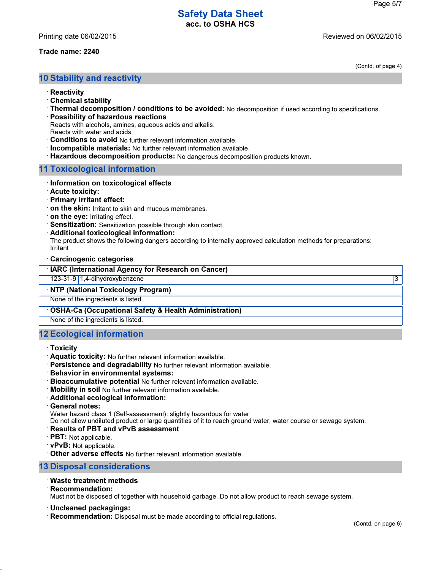## Trade name: 2240

(Contd. of page 4)

# 10 Stability and reactivity

- · Reactivity
- $\cdot$  Chemical stabilitv
- · Thermal decomposition / conditions to be avoided: No decomposition if used according to specifications.
- · Possibility of hazardous reactions

Reacts with alcohols, amines, aqueous acids and alkalis.

- Reacts with water and acids.
- · Conditions to avoid No further relevant information available.
- · Incompatible materials: No further relevant information available.
- · Hazardous decomposition products: No dangerous decomposition products known.

## 11 Toxicological information

- · Information on toxicological effects
- · Acute toxicity:
- · Primary irritant effect:
- · on the skin: Irritant to skin and mucous membranes.
- · on the eye: Irritating effect.
- · Sensitization: Sensitization possible through skin contact.
- · Additional toxicological information:

The product shows the following dangers according to internally approved calculation methods for preparations: Irritant

#### · Carcinogenic categories

| <b>IARC (International Agency for Research on Cancer)</b> |   |
|-----------------------------------------------------------|---|
| 123-31-9 1,4-dihydroxybenzene                             | 3 |
| <b>NTP (National Toxicology Program)</b>                  |   |
| None of the ingredients is listed.                        |   |
| • OSHA-Ca (Occupational Safety & Health Administration)   |   |
| None of the ingredients is listed.                        |   |
| <b>12 Ecological information</b>                          |   |

- · Toxicity
- · Aquatic toxicity: No further relevant information available.
- · Persistence and degradability No further relevant information available.
- · Behavior in environmental systems:
- · Bioaccumulative potential No further relevant information available.
- · Mobility in soil No further relevant information available.
- · Additional ecological information:
- · General notes:

Water hazard class 1 (Self-assessment): slightly hazardous for water

Do not allow undiluted product or large quantities of it to reach ground water, water course or sewage system.

## · Results of PBT and vPvB assessment

- $\cdot$  PBT: Not applicable.
- · vPvB: Not applicable.

· Other adverse effects No further relevant information available.

# 13 Disposal considerations

# · Waste treatment methods

· Recommendation:

Must not be disposed of together with household garbage. Do not allow product to reach sewage system.

### · Uncleaned packagings:

· Recommendation: Disposal must be made according to official regulations.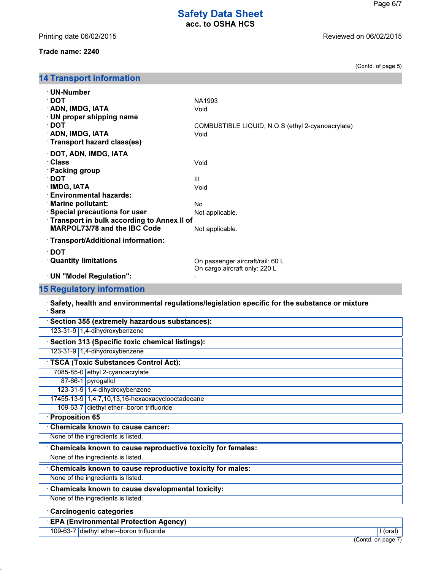# Trade name: 2240

(Contd. of page 5)

| <b>14 Transport information</b>            |                                                   |  |  |
|--------------------------------------------|---------------------------------------------------|--|--|
| $\cdot$ UN-Number                          |                                                   |  |  |
| ∙ DOT                                      | NA1993                                            |  |  |
| <b>ADN, IMDG, IATA</b>                     | Void                                              |  |  |
| <b>UN proper shipping name</b>             |                                                   |  |  |
| ∙ DOT                                      | COMBUSTIBLE LIQUID, N.O.S (ethyl 2-cyanoacrylate) |  |  |
| <b>ADN, IMDG, IATA</b>                     | Void                                              |  |  |
| Transport hazard class(es)                 |                                                   |  |  |
| <b>· DOT, ADN, IMDG, IATA</b>              |                                                   |  |  |
| ∴Class                                     | Void                                              |  |  |
| · Packing group                            |                                                   |  |  |
| ∙ DOT                                      | Ш                                                 |  |  |
| <b>IMDG, IATA</b>                          | Void                                              |  |  |
| $\cdot$ Environmental hazards:             |                                                   |  |  |
| <b>Marine pollutant:</b>                   | No                                                |  |  |
| <b>Special precautions for user</b>        | Not applicable.                                   |  |  |
| Transport in bulk according to Annex II of |                                                   |  |  |
| <b>MARPOL73/78 and the IBC Code</b>        | Not applicable.                                   |  |  |
| · Transport/Additional information:        |                                                   |  |  |
| ∙ DOT                                      |                                                   |  |  |
| <b>Quantity limitations</b>                | On passenger aircraft/rail: 60 L                  |  |  |
|                                            | On cargo aircraft only: 220 L                     |  |  |
| ⋅ UN "Model Regulation":                   |                                                   |  |  |

# 15 Regulatory information

· Safety, health and environmental regulations/legislation specific for the substance or mixture · Sara

| Section 355 (extremely hazardous substances):               |  |  |  |  |
|-------------------------------------------------------------|--|--|--|--|
| 123-31-9 1,4-dihydroxybenzene                               |  |  |  |  |
| Section 313 (Specific toxic chemical listings):             |  |  |  |  |
| 123-31-9 1,4-dihydroxybenzene                               |  |  |  |  |
| TSCA (Toxic Substances Control Act):                        |  |  |  |  |
| 7085-85-0 ethyl 2-cyanoacrylate                             |  |  |  |  |
| 87-66-1 pyrogallol                                          |  |  |  |  |
| 123-31-9 1,4-dihydroxybenzene                               |  |  |  |  |
| 17455-13-9 1,4,7,10,13,16-hexaoxacyclooctadecane            |  |  |  |  |
| 109-63-7 diethyl ether--boron trifluoride                   |  |  |  |  |
| Proposition 65                                              |  |  |  |  |
| $\cdot$ Chemicals known to cause cancer:                    |  |  |  |  |
| None of the ingredients is listed.                          |  |  |  |  |
| Chemicals known to cause reproductive toxicity for females: |  |  |  |  |
| None of the ingredients is listed.                          |  |  |  |  |
| Chemicals known to cause reproductive toxicity for males:   |  |  |  |  |
| None of the ingredients is listed.                          |  |  |  |  |
| <b>Chemicals known to cause developmental toxicity:</b>     |  |  |  |  |
| None of the ingredients is listed.                          |  |  |  |  |
| <b>Carcinogenic categories</b>                              |  |  |  |  |
| <b>EPA (Environmental Protection Agency)</b>                |  |  |  |  |

109-63-7 diethyl ether--boron trifluoride **I (oral)** I (oral)